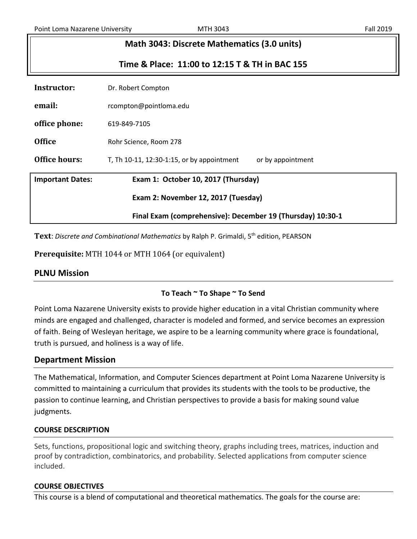| Math 3043: Discrete Mathematics (3.0 units)                |                                                                 |  |  |  |
|------------------------------------------------------------|-----------------------------------------------------------------|--|--|--|
| Time & Place: 11:00 to 12:15 T & TH in BAC 155             |                                                                 |  |  |  |
| Instructor:                                                | Dr. Robert Compton                                              |  |  |  |
| email:                                                     | rcompton@pointloma.edu                                          |  |  |  |
| office phone:                                              | 619-849-7105                                                    |  |  |  |
| <b>Office</b>                                              | Rohr Science, Room 278                                          |  |  |  |
| Office hours:                                              | T, Th 10-11, 12:30-1:15, or by appointment<br>or by appointment |  |  |  |
| <b>Important Dates:</b>                                    | Exam 1: October 10, 2017 (Thursday)                             |  |  |  |
| Exam 2: November 12, 2017 (Tuesday)                        |                                                                 |  |  |  |
| Final Exam (comprehensive): December 19 (Thursday) 10:30-1 |                                                                 |  |  |  |

**Text**: *Discrete and Combinational Mathematics* by Ralph P. Grimaldi, 5th edition, PEARSON

**Prerequisite:** MTH 1044 or MTH 1064 (or equivalent)

# **PLNU Mission**

## **To Teach ~ To Shape ~ To Send**

Point Loma Nazarene University exists to provide higher education in a vital Christian community where minds are engaged and challenged, character is modeled and formed, and service becomes an expression of faith. Being of Wesleyan heritage, we aspire to be a learning community where grace is foundational, truth is pursued, and holiness is a way of life.

## **Department Mission**

The Mathematical, Information, and Computer Sciences department at Point Loma Nazarene University is committed to maintaining a curriculum that provides its students with the tools to be productive, the passion to continue learning, and Christian perspectives to provide a basis for making sound value judgments.

### **COURSE DESCRIPTION**

Sets, functions, propositional logic and switching theory, graphs including trees, matrices, induction and proof by contradiction, combinatorics, and probability. Selected applications from computer science included.

### **COURSE OBJECTIVES**

This course is a blend of computational and theoretical mathematics. The goals for the course are: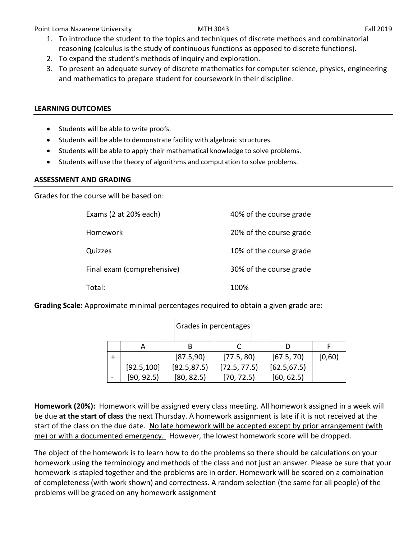Point Loma Nazarene University **MTH 3043** Fall 2019 Fall 2019

- 1. To introduce the student to the topics and techniques of discrete methods and combinatorial reasoning (calculus is the study of continuous functions as opposed to discrete functions).
- 2. To expand the student's methods of inquiry and exploration.
- 3. To present an adequate survey of discrete mathematics for computer science, physics, engineering and mathematics to prepare student for coursework in their discipline.

### **LEARNING OUTCOMES**

- Students will be able to write proofs.
- Students will be able to demonstrate facility with algebraic structures.
- Students will be able to apply their mathematical knowledge to solve problems.
- Students will use the theory of algorithms and computation to solve problems.

### **ASSESSMENT AND GRADING**

Grades for the course will be based on:

| Exams (2 at 20% each)      | 40% of the course grade |
|----------------------------|-------------------------|
| Homework                   | 20% of the course grade |
| Quizzes                    | 10% of the course grade |
| Final exam (comprehensive) | 30% of the course grade |
| Total:                     | 100%                    |

**Grading Scale:** Approximate minimal percentages required to obtain a given grade are:

|             | [87.5,90]    | [77.5, 80]   | [67.5, 70]   | [0,60) |
|-------------|--------------|--------------|--------------|--------|
| [92.5, 100] | [82.5, 87.5] | [72.5, 77.5] | [62.5, 67.5] |        |
| [90, 92.5]  | [80, 82.5]   | [70, 72.5]   | [60, 62.5]   |        |

Grades in percentages

**Homework (20%):** Homework will be assigned every class meeting. All homework assigned in a week will be due **at the start of class** the next Thursday. A homework assignment is late if it is not received at the start of the class on the due date. No late homework will be accepted except by prior arrangement (with me) or with a documented emergency. However, the lowest homework score will be dropped.

The object of the homework is to learn how to do the problems so there should be calculations on your homework using the terminology and methods of the class and not just an answer. Please be sure that your homework is stapled together and the problems are in order. Homework will be scored on a combination of completeness (with work shown) and correctness. A random selection (the same for all people) of the problems will be graded on any homework assignment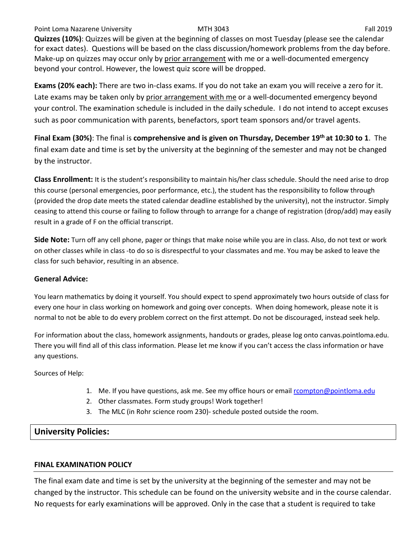### Point Loma Nazarene University **Fall 2019** MTH 3043 **Fall 2019** Fall 2019

**Quizzes (10%)**: Quizzes will be given at the beginning of classes on most Tuesday (please see the calendar for exact dates). Questions will be based on the class discussion/homework problems from the day before. Make-up on quizzes may occur only by prior arrangement with me or a well-documented emergency beyond your control. However, the lowest quiz score will be dropped.

**Exams (20% each):** There are two in-class exams. If you do not take an exam you will receive a zero for it. Late exams may be taken only by prior arrangement with me or a well-documented emergency beyond your control. The examination schedule is included in the daily schedule. I do not intend to accept excuses such as poor communication with parents, benefactors, sport team sponsors and/or travel agents.

**Final Exam (30%)**: The final is **comprehensive and is given on Thursday, December 19th at 10:30 to 1**. The final exam date and time is set by the university at the beginning of the semester and may not be changed by the instructor.

**Class Enrollment:** It is the student's responsibility to maintain his/her class schedule. Should the need arise to drop this course (personal emergencies, poor performance, etc.), the student has the responsibility to follow through (provided the drop date meets the stated calendar deadline established by the university), not the instructor. Simply ceasing to attend this course or failing to follow through to arrange for a change of registration (drop/add) may easily result in a grade of F on the official transcript.

**Side Note:** Turn off any cell phone, pager or things that make noise while you are in class. Also, do not text or work on other classes while in class -to do so is disrespectful to your classmates and me. You may be asked to leave the class for such behavior, resulting in an absence.

### **General Advice:**

You learn mathematics by doing it yourself. You should expect to spend approximately two hours outside of class for every one hour in class working on homework and going over concepts. When doing homework, please note it is normal to not be able to do every problem correct on the first attempt. Do not be discouraged, instead seek help.

For information about the class, homework assignments, handouts or grades, please log onto canvas.pointloma.edu. There you will find all of this class information. Please let me know if you can't access the class information or have any questions.

Sources of Help:

- 1. Me. If you have questions, ask me. See my office hours or email [rcompton@pointloma.edu](mailto:rcompton@pointloma.edu)
- 2. Other classmates. Form study groups! Work together!
- 3. The MLC (in Rohr science room 230)- schedule posted outside the room.

# **University Policies:**

### **FINAL EXAMINATION POLICY**

The final exam date and time is set by the university at the beginning of the semester and may not be changed by the instructor. This schedule can be found on the university website and in the course calendar. No requests for early examinations will be approved. Only in the case that a student is required to take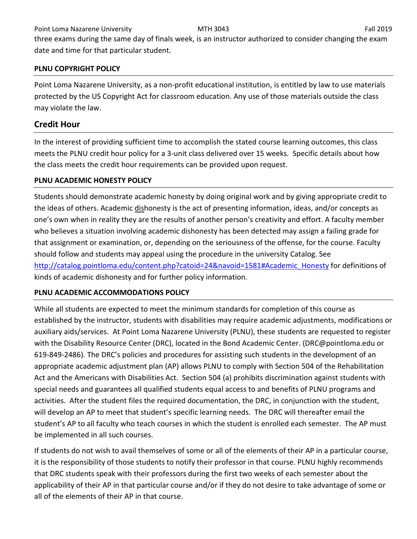Point Loma Nazarene University **Fall 2019** MTH 3043 **Fall 2019** Fall 2019

three exams during the same day of finals week, is an instructor authorized to consider changing the exam date and time for that particular student.

# **PLNU COPYRIGHT POLICY**

Point Loma Nazarene University, as a non-profit educational institution, is entitled by law to use materials protected by the US Copyright Act for classroom education. Any use of those materials outside the class may violate the law.

# **Credit Hour**

In the interest of providing sufficient time to accomplish the stated course learning outcomes, this class meets the PLNU credit hour policy for a 3-unit class delivered over 15 weeks. Specific details about how the class meets the credit hour requirements can be provided upon request.

# **PLNU ACADEMIC HONESTY POLICY**

Students should demonstrate academic honesty by doing original work and by giving appropriate credit to the ideas of others. Academic dishonesty is the act of presenting information, ideas, and/or concepts as one's own when in reality they are the results of another person's creativity and effort. A faculty member who believes a situation involving academic dishonesty has been detected may assign a failing grade for that assignment or examination, or, depending on the seriousness of the offense, for the course. Faculty should follow and students may appeal using the procedure in the university Catalog. See [http://catalog.pointloma.edu/content.php?catoid=24&navoid=1581#Academic\\_Honesty](http://catalog.pointloma.edu/content.php?catoid=24&navoid=1581#Academic_Honesty) for definitions of kinds of academic dishonesty and for further policy information.

# **PLNU ACADEMIC ACCOMMODATIONS POLICY**

While all students are expected to meet the minimum standards for completion of this course as established by the instructor, students with disabilities may require academic adjustments, modifications or auxiliary aids/services. At Point Loma Nazarene University (PLNU), these students are requested to register with the Disability Resource Center (DRC), located in the Bond Academic Center. (DRC@pointloma.edu or 619-849-2486). The DRC's policies and procedures for assisting such students in the development of an appropriate academic adjustment plan (AP) allows PLNU to comply with Section 504 of the Rehabilitation Act and the Americans with Disabilities Act. Section 504 (a) prohibits discrimination against students with special needs and guarantees all qualified students equal access to and benefits of PLNU programs and activities. After the student files the required documentation, the DRC, in conjunction with the student, will develop an AP to meet that student's specific learning needs. The DRC will thereafter email the student's AP to all faculty who teach courses in which the student is enrolled each semester. The AP must be implemented in all such courses.

If students do not wish to avail themselves of some or all of the elements of their AP in a particular course, it is the responsibility of those students to notify their professor in that course. PLNU highly recommends that DRC students speak with their professors during the first two weeks of each semester about the applicability of their AP in that particular course and/or if they do not desire to take advantage of some or all of the elements of their AP in that course.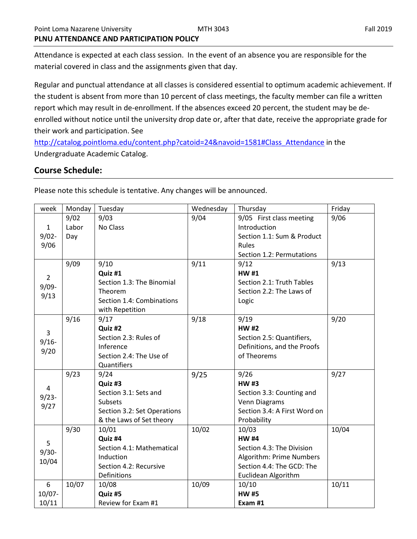Attendance is expected at each class session. In the event of an absence you are responsible for the material covered in class and the assignments given that day.

Regular and punctual attendance at all classes is considered essential to optimum academic achievement. If the student is absent from more than 10 percent of class meetings, the faculty member can file a written report which may result in de-enrollment. If the absences exceed 20 percent, the student may be deenrolled without notice until the university drop date or, after that date, receive the appropriate grade for their work and participation. See

[http://catalog.pointloma.edu/content.php?catoid=24&navoid=1581#Class\\_Attendance](http://catalog.pointloma.edu/content.php?catoid=24&navoid=1581#Class_Attendance) in the Undergraduate Academic Catalog.

## **Course Schedule:**

| week           | Monday | Tuesday                     | Wednesday | Thursday                     | Friday |
|----------------|--------|-----------------------------|-----------|------------------------------|--------|
|                | 9/02   | 9/03                        | 9/04      | 9/05 First class meeting     | 9/06   |
| $\mathbf{1}$   | Labor  | No Class                    |           | Introduction                 |        |
| $9/02 -$       | Day    |                             |           | Section 1.1: Sum & Product   |        |
| 9/06           |        |                             |           | Rules                        |        |
|                |        |                             |           | Section 1.2: Permutations    |        |
|                | 9/09   | 9/10                        | 9/11      | 9/12                         | 9/13   |
| $\overline{2}$ |        | Quiz #1                     |           | <b>HW#1</b>                  |        |
| $9/09 -$       |        | Section 1.3: The Binomial   |           | Section 2.1: Truth Tables    |        |
| 9/13           |        | Theorem                     |           | Section 2.2: The Laws of     |        |
|                |        | Section 1.4: Combinations   |           | Logic                        |        |
|                |        | with Repetition             |           |                              |        |
|                | 9/16   | 9/17                        | 9/18      | 9/19                         | 9/20   |
| $\overline{3}$ |        | Quiz #2                     |           | <b>HW#2</b>                  |        |
| $9/16 -$       |        | Section 2.3: Rules of       |           | Section 2.5: Quantifiers,    |        |
| 9/20           |        | Inference                   |           | Definitions, and the Proofs  |        |
|                |        | Section 2.4: The Use of     |           | of Theorems                  |        |
|                |        | Quantifiers                 |           |                              |        |
|                | 9/23   | 9/24                        | 9/25      | 9/26                         | 9/27   |
| 4              |        | Quiz #3                     |           | <b>HW#3</b>                  |        |
| $9/23 -$       |        | Section 3.1: Sets and       |           | Section 3.3: Counting and    |        |
| 9/27           |        | Subsets                     |           | Venn Diagrams                |        |
|                |        | Section 3.2: Set Operations |           | Section 3.4: A First Word on |        |
|                |        | & the Laws of Set theory    |           | Probability                  |        |
|                | 9/30   | 10/01                       | 10/02     | 10/03                        | 10/04  |
| 5              |        | Quiz #4                     |           | <b>HW#4</b>                  |        |
| $9/30-$        |        | Section 4.1: Mathematical   |           | Section 4.3: The Division    |        |
| 10/04          |        | Induction                   |           | Algorithm: Prime Numbers     |        |
|                |        | Section 4.2: Recursive      |           | Section 4.4: The GCD: The    |        |
|                |        | Definitions                 |           | Euclidean Algorithm          |        |
| 6              | 10/07  | 10/08                       | 10/09     | 10/10                        | 10/11  |
| $10/07 -$      |        | Quiz #5                     |           | <b>HW#5</b>                  |        |
| 10/11          |        | Review for Exam #1          |           | Exam #1                      |        |

Please note this schedule is tentative. Any changes will be announced.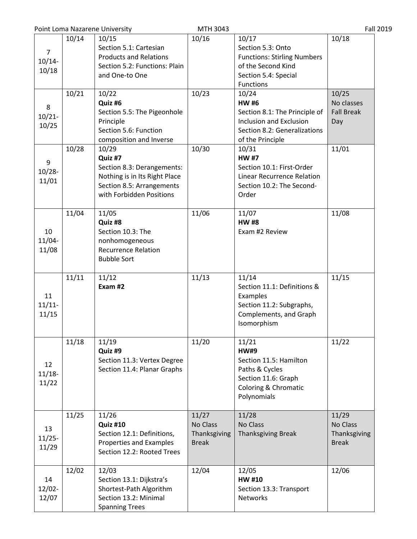|                                      |       | Point Loma Nazarene University                                                                                                           | MTH 3043                                          |                                                                                                                                           | <b>Fall 2019</b>                                  |
|--------------------------------------|-------|------------------------------------------------------------------------------------------------------------------------------------------|---------------------------------------------------|-------------------------------------------------------------------------------------------------------------------------------------------|---------------------------------------------------|
| $\overline{7}$<br>$10/14 -$<br>10/18 | 10/14 | 10/15<br>Section 5.1: Cartesian<br><b>Products and Relations</b><br>Section 5.2: Functions: Plain<br>and One-to One                      | 10/16                                             | 10/17<br>Section 5.3: Onto<br><b>Functions: Stirling Numbers</b><br>of the Second Kind<br>Section 5.4: Special<br><b>Functions</b>        | 10/18                                             |
| 8<br>$10/21 -$<br>10/25              | 10/21 | 10/22<br>Quiz #6<br>Section 5.5: The Pigeonhole<br>Principle<br>Section 5.6: Function<br>composition and Inverse                         | 10/23                                             | 10/24<br><b>HW#6</b><br>Section 8.1: The Principle of<br>Inclusion and Exclusion<br>Section 8.2: Generalizations<br>of the Principle      | 10/25<br>No classes<br><b>Fall Break</b><br>Day   |
| 9<br>$10/28 -$<br>11/01              | 10/28 | 10/29<br>Quiz #7<br>Section 8.3: Derangements:<br>Nothing is in Its Right Place<br>Section 8.5: Arrangements<br>with Forbidden Positions | 10/30                                             | 10/31<br><b>HW#7</b><br>Section 10.1: First-Order<br>Linear Recurrence Relation<br>Section 10.2: The Second-<br>Order                     | 11/01                                             |
| 10<br>$11/04 -$<br>11/08             | 11/04 | 11/05<br>Quiz #8<br>Section 10.3: The<br>nonhomogeneous<br><b>Recurrence Relation</b><br><b>Bubble Sort</b>                              | 11/06                                             | 11/07<br><b>HW#8</b><br>Exam #2 Review                                                                                                    | 11/08                                             |
| 11<br>$11/11$ -<br>11/15             | 11/11 | 11/12<br>Exam #2                                                                                                                         | 11/13                                             | 11/14<br>Section 11.1: Definitions &<br>Examples<br>Section 11.2: Subgraphs,<br>Complements, and Graph<br>Isomorphism                     | 11/15                                             |
| 12<br>$11/18-$<br>11/22              | 11/18 | 11/19<br>Quiz #9<br>Section 11.3: Vertex Degree<br>Section 11.4: Planar Graphs                                                           | 11/20                                             | 11/21<br><b>HW#9</b><br>Section 11.5: Hamilton<br>Paths & Cycles<br>Section 11.6: Graph<br><b>Coloring &amp; Chromatic</b><br>Polynomials | 11/22                                             |
| 13<br>$11/25 -$<br>11/29             | 11/25 | 11/26<br><b>Quiz #10</b><br>Section 12.1: Definitions,<br>Properties and Examples<br>Section 12.2: Rooted Trees                          | 11/27<br>No Class<br>Thanksgiving<br><b>Break</b> | 11/28<br>No Class<br><b>Thanksgiving Break</b>                                                                                            | 11/29<br>No Class<br>Thanksgiving<br><b>Break</b> |
| 14<br>$12/02 -$<br>12/07             | 12/02 | 12/03<br>Section 13.1: Dijkstra's<br>Shortest-Path Algorithm<br>Section 13.2: Minimal<br><b>Spanning Trees</b>                           | 12/04                                             | 12/05<br><b>HW#10</b><br>Section 13.3: Transport<br>Networks                                                                              | 12/06                                             |